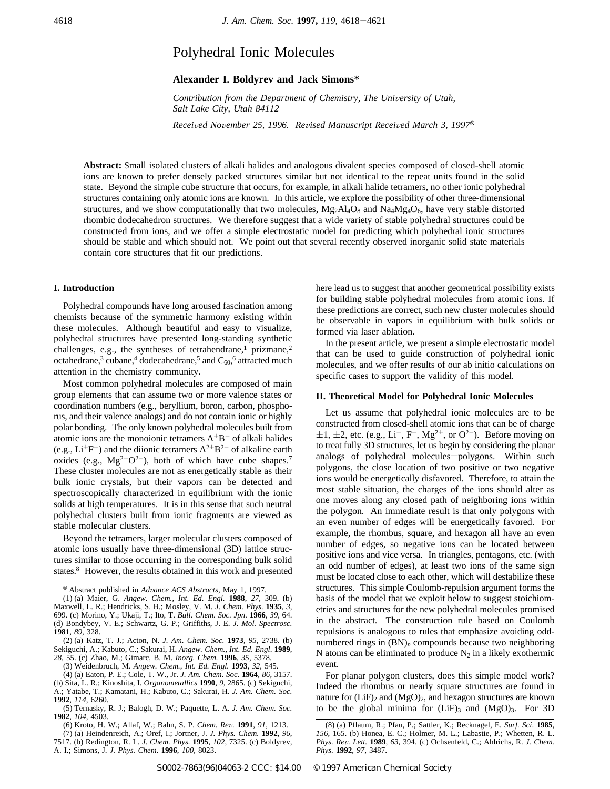# Polyhedral Ionic Molecules

## **Alexander I. Boldyrev and Jack Simons\***

*Contribution from the Department of Chemistry, The University of Utah, Salt Lake City, Utah 84112*

*Recei*V*ed No*V*ember 25, 1996. Re*V*ised Manuscript Recei*V*ed March 3, 1997*<sup>X</sup>

**Abstract:** Small isolated clusters of alkali halides and analogous divalent species composed of closed-shell atomic ions are known to prefer densely packed structures similar but not identical to the repeat units found in the solid state. Beyond the simple cube structure that occurs, for example, in alkali halide tetramers, no other ionic polyhedral structures containing only atomic ions are known. In this article, we explore the possibility of other three-dimensional structures, and we show computationally that two molecules,  $Mg_2Al_4O_8$  and  $Na_4Mg_4O_6$ , have very stable distorted rhombic dodecahedron structures. We therefore suggest that a wide variety of stable polyhedral structures could be constructed from ions, and we offer a simple electrostatic model for predicting which polyhedral ionic structures should be stable and which should not. We point out that several recently observed inorganic solid state materials contain core structures that fit our predictions.

#### **I. Introduction**

Polyhedral compounds have long aroused fascination among chemists because of the symmetric harmony existing within these molecules. Although beautiful and easy to visualize, polyhedral structures have presented long-standing synthetic challenges, e.g., the syntheses of tetrahendrane,<sup>1</sup> prizmane,<sup>2</sup> octahedrane,<sup>3</sup> cubane,<sup>4</sup> dodecahedrane,<sup>5</sup> and  $C_{60}$ ,<sup>6</sup> attracted much attention in the chemistry community.

Most common polyhedral molecules are composed of main group elements that can assume two or more valence states or coordination numbers (e.g., beryllium, boron, carbon, phosphorus, and their valence analogs) and do not contain ionic or highly polar bonding. The only known polyhedral molecules built from atomic ions are the monoionic tetramers  $A^{+}B^{-}$  of alkali halides (e.g.,  $Li^{+}F^{-}$ ) and the diionic tetramers  $A^{2+}B^{2-}$  of alkaline earth oxides (e.g.,  $Mg^{2+}O^{2-}$ ), both of which have cube shapes.<sup>7</sup> These cluster molecules are not as energetically stable as their bulk ionic crystals, but their vapors can be detected and spectroscopically characterized in equilibrium with the ionic solids at high temperatures. It is in this sense that such neutral polyhedral clusters built from ionic fragments are viewed as stable molecular clusters.

Beyond the tetramers, larger molecular clusters composed of atomic ions usually have three-dimensional (3D) lattice structures similar to those occurring in the corresponding bulk solid states.8 However, the results obtained in this work and presented

<sup>X</sup> Abstract published in *Ad*V*ance ACS Abstracts,* May 1, 1997.

(3) Weidenbruch, M. *Angew. Chem., Int. Ed. Engl.* **1993**, *32*, 545.

A. I.; Simons, J. *J. Phys. Chem.* **1996**, *100*, 8023.

here lead us to suggest that another geometrical possibility exists for building stable polyhedral molecules from atomic ions. If these predictions are correct, such new cluster molecules should be observable in vapors in equilibrium with bulk solids or formed via laser ablation.

In the present article, we present a simple electrostatic model that can be used to guide construction of polyhedral ionic molecules, and we offer results of our ab initio calculations on specific cases to support the validity of this model.

#### **II. Theoretical Model for Polyhedral Ionic Molecules**

Let us assume that polyhedral ionic molecules are to be constructed from closed-shell atomic ions that can be of charge  $\pm 1$ ,  $\pm 2$ , etc. (e.g., Li<sup>+</sup>, F<sup>-</sup>, Mg<sup>2+</sup>, or O<sup>2-</sup>). Before moving on to treat fully 3D structures, let us begin by considering the planar analogs of polyhedral molecules-polygons. Within such polygons, the close location of two positive or two negative ions would be energetically disfavored. Therefore, to attain the most stable situation, the charges of the ions should alter as one moves along any closed path of neighboring ions within the polygon. An immediate result is that only polygons with an even number of edges will be energetically favored. For example, the rhombus, square, and hexagon all have an even number of edges, so negative ions can be located between positive ions and vice versa. In triangles, pentagons, etc. (with an odd number of edges), at least two ions of the same sign must be located close to each other, which will destabilize these structures. This simple Coulomb-repulsion argument forms the basis of the model that we exploit below to suggest stoichiometries and structures for the new polyhedral molecules promised in the abstract. The construction rule based on Coulomb repulsions is analogous to rules that emphasize avoiding oddnumbered rings in (BN)*<sup>n</sup>* compounds because two neighboring N atoms can be eliminated to produce  $N_2$  in a likely exothermic event.

For planar polygon clusters, does this simple model work? Indeed the rhombus or nearly square structures are found in nature for  $(LiF)_2$  and  $(MgO)_2$ , and hexagon structures are known to be the global minima for  $(LiF)$ <sub>3</sub> and  $(MgO)$ <sub>3</sub>. For 3D

<sup>(1) (</sup>a) Maier, G. *Angew. Chem., Int. Ed. Engl.* **1988**, *27*, 309. (b) Maxwell, L. R.; Hendricks, S. B.; Mosley, V. M. *J. Chem. Phys.* **1935**, *3*, 699. (c) Morino, Y.; Ukaji, T.; Ito, T. *Bull. Chem. Soc. Jpn.* **1966**, *39*, 64. (d) Bondybey, V. E.; Schwartz, G. P.; Griffiths, J. E. *J. Mol. Spectrosc.* **1981**, *89*, 328.

<sup>(2) (</sup>a) Katz, T. J.; Acton, N. *J. Am. Chem. Soc.* **1973**, *95*, 2738. (b) Sekiguchi, A.; Kabuto, C.; Sakurai, H. *Angew. Chem., Int. Ed. Engl*. **1989**, *28*, 55. (c) Zhao, M.; Gimarc, B. M. *Inorg. Chem.* **1996**, *35*, 5378.

<sup>(4) (</sup>a) Eaton, P. E.; Cole, T. W., Jr. *J. Am. Chem. Soc.* **1964**, *86*, 3157. (b) Sita, L. R.; Kinoshita, I. *Organometallics* **1990**, *9*, 2865. (c) Sekiguchi, A.; Yatabe, T.; Kamatani, H.; Kabuto, C.; Sakurai, H. *J. Am. Chem. Soc.* **1992**, *114*, 6260.

<sup>(5)</sup> Ternasky, R. J.; Balogh, D. W.; Paquette, L. A. *J. Am. Chem. Soc.* **1982**, *104*, 4503.

<sup>(6)</sup> Kroto, H. W.; Allaf, W.; Bahn, S. P. *Chem. Re*V*.* **1991**, *91*, 1213. (7) (a) Heindenreich, A.; Oref, I.; Jortner, J. *J. Phys. Chem.* **1992**, *96*, 7517. (b) Redington, R. L. *J. Chem. Phys.* **1995**, *102*, 7325. (c) Boldyrev,

<sup>(8) (</sup>a) Pflaum, R.; Pfau, P.; Sattler, K.; Recknagel, E. *Surf. Sci*. **1985**, *156*, 165. (b) Honea, E. C.; Holmer, M. L.; Labastie, P.; Whetten, R. L. *Phys. Re*V*. Lett.* **1989**, *63*, 394. (c) Ochsenfeld, C.; Ahlrichs, R. *J. Chem. Phys.* **1992**, *97*, 3487.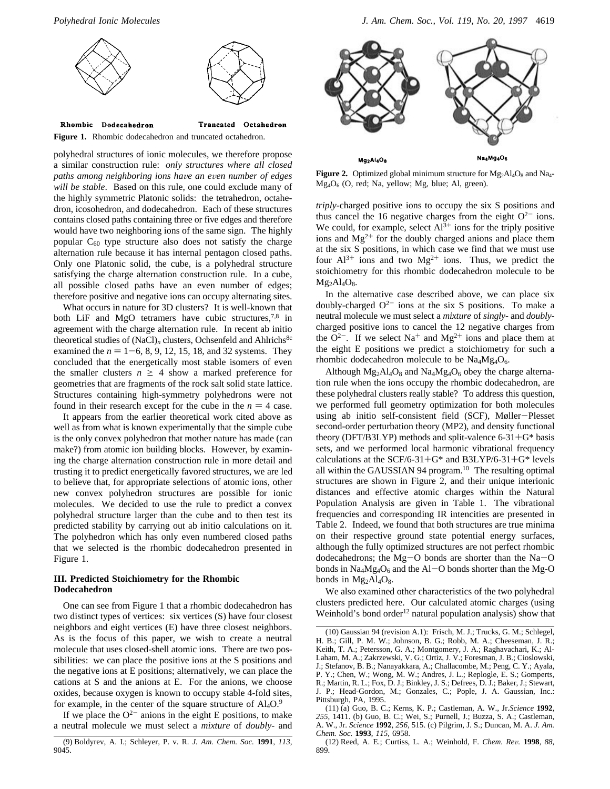



polyhedral structures of ionic molecules, we therefore propose a similar construction rule: *only structures where all closed paths among neighboring ions ha*V*e an e*V*en number of edges will be stable*. Based on this rule, one could exclude many of the highly symmetric Platonic solids: the tetrahedron, octahedron, icosohedron, and dodecahedron. Each of these structures contains closed paths containing three or five edges and therefore would have two neighboring ions of the same sign. The highly popular  $C_{60}$  type structure also does not satisfy the charge alternation rule because it has internal pentagon closed paths. Only one Platonic solid, the cube, is a polyhedral structure satisfying the charge alternation construction rule. In a cube, all possible closed paths have an even number of edges; therefore positive and negative ions can occupy alternating sites.

What occurs in nature for 3D clusters? It is well-known that both LiF and MgO tetramers have cubic structures,<sup>7,8</sup> in agreement with the charge alternation rule. In recent ab initio theoretical studies of (NaCl)<sub>n</sub> clusters, Ochsenfeld and Ahlrichs<sup>8c</sup> examined the  $n = 1-6$ , 8, 9, 12, 15, 18, and 32 systems. They concluded that the energetically most stable isomers of even the smaller clusters  $n \geq 4$  show a marked preference for geometries that are fragments of the rock salt solid state lattice. Structures containing high-symmetry polyhedrons were not found in their research except for the cube in the  $n = 4$  case.

It appears from the earlier theoretical work cited above as well as from what is known experimentally that the simple cube is the only convex polyhedron that mother nature has made (can make?) from atomic ion building blocks. However, by examining the charge alternation construction rule in more detail and trusting it to predict energetically favored structures, we are led to believe that, for appropriate selections of atomic ions, other new convex polyhedron structures are possible for ionic molecules. We decided to use the rule to predict a convex polyhedral structure larger than the cube and to then test its predicted stability by carrying out ab initio calculations on it. The polyhedron which has only even numbered closed paths that we selected is the rhombic dodecahedron presented in Figure 1.

### **III. Predicted Stoichiometry for the Rhombic Dodecahedron**

One can see from Figure 1 that a rhombic dodecahedron has two distinct types of vertices: six vertices (S) have four closest neighbors and eight vertices (E) have three closest neighbors. As is the focus of this paper, we wish to create a neutral molecule that uses closed-shell atomic ions. There are two possibilities: we can place the positive ions at the S positions and the negative ions at E positions; alternatively, we can place the cations at S and the anions at E. For the anions, we choose oxides, because oxygen is known to occupy stable 4-fold sites, for example, in the center of the square structure of  $Al_4O$ .<sup>9</sup>

If we place the  $O^{2-}$  anions in the eight E positions, to make a neutral molecule we must select a *mixture* of *doubly*- and



**Figure 2.** Optimized global minimum structure for  $Mg_2Al_4O_8$  and Na<sub>4</sub>-Mg4O6 (O, red; Na, yellow; Mg, blue; Al, green).

*triply*-charged positive ions to occupy the six S positions and thus cancel the 16 negative charges from the eight  $O^{2-}$  ions. We could, for example, select  $Al^{3+}$  ions for the triply positive ions and  $Mg^{2+}$  for the doubly charged anions and place them at the six S positions, in which case we find that we must use four  $Al^{3+}$  ions and two  $Mg^{2+}$  ions. Thus, we predict the stoichiometry for this rhombic dodecahedron molecule to be  $Mg_2Al_4O_8.$ 

In the alternative case described above, we can place six doubly-charged  $O^{2-}$  ions at the six S positions. To make a neutral molecule we must select a *mixture* of *singly*- and *doubly*charged positive ions to cancel the 12 negative charges from the  $Q^{2-}$ . If we select Na<sup>+</sup> and Mg<sup>2+</sup> ions and place them at the eight E positions we predict a stoichiometry for such a rhombic dodecahedron molecule to be  $Na<sub>4</sub>Mg<sub>4</sub>O<sub>6</sub>$ .

Although  $Mg_2Al_4O_8$  and  $Na_4Mg_4O_6$  obey the charge alternation rule when the ions occupy the rhombic dodecahedron, are these polyhedral clusters really stable? To address this question, we performed full geometry optimization for both molecules using ab initio self-consistent field (SCF), Møller-Plesset second-order perturbation theory (MP2), and density functional theory (DFT/B3LYP) methods and split-valence  $6-31+G^*$  basis sets, and we performed local harmonic vibrational frequency calculations at the SCF/6-31+G\* and B3LYP/6-31+G\* levels all within the GAUSSIAN 94 program.<sup>10</sup> The resulting optimal structures are shown in Figure 2, and their unique interionic distances and effective atomic charges within the Natural Population Analysis are given in Table 1. The vibrational frequencies and corresponding IR intencities are presented in Table 2. Indeed, we found that both structures are true minima on their respective ground state potential energy surfaces, although the fully optimized structures are not perfect rhombic dodecahedrons; the Mg-O bonds are shorter than the Na-O bonds in  $Na_4Mg_4O_6$  and the Al-O bonds shorter than the Mg-O bonds in  $Mg_2Al_4O_8$ .

We also examined other characteristics of the two polyhedral clusters predicted here. Our calculated atomic charges (using Weinhold's bond order<sup>12</sup> natural population analysis) show that

<sup>(9)</sup> Boldyrev, A. I.; Schleyer, P. v. R. *J. Am. Chem. Soc.* **1991**, *113*, 9045.

<sup>(10)</sup> Gaussian 94 (revision A.1): Frisch, M. J.; Trucks, G. M.; Schlegel, H. B.; Gill, P. M. W.; Johnson, B. G.; Robb, M. A.; Cheeseman, J. R.; Keith, T. A.; Petersson, G. A.; Montgomery, J. A.; Raghavachari, K.; Al-Laham, M. A.; Zakrzewski, V. G.; Ortiz, J. V.; Foresman, J. B.; Cioslowski, J.; Stefanov, B. B.; Nanayakkara, A.; Challacombe, M.; Peng, C. Y.; Ayala, P. Y.; Chen, W.; Wong, M. W.; Andres, J. L.; Replogle, E. S.; Gomperts, R.; Martin, R. L.; Fox, D. J.; Binkley, J. S.; Defrees, D. J.; Baker, J.; Stewart, J. P.; Head-Gordon, M.; Gonzales, C.; Pople, J. A. Gaussian, Inc.: Pittsburgh, PA, 1995.

<sup>(11) (</sup>a) Guo, B. C.; Kerns, K. P.; Castleman, A. W., Jr.*Science* **1992**, *255*, 1411. (b) Guo, B. C.; Wei, S.; Purnell, J.; Buzza, S. A.; Castleman, A. W., Jr. *Science* **1992**, *256*, 515. (c) Pilgrim, J. S.; Duncan, M. A. *J. Am. Chem. Soc.* **1993**, *115*, 6958.

<sup>(12)</sup> Reed, A. E.; Curtiss, L. A.; Weinhold, F. *Chem. Re*V*.* **1998**, *88*, 899.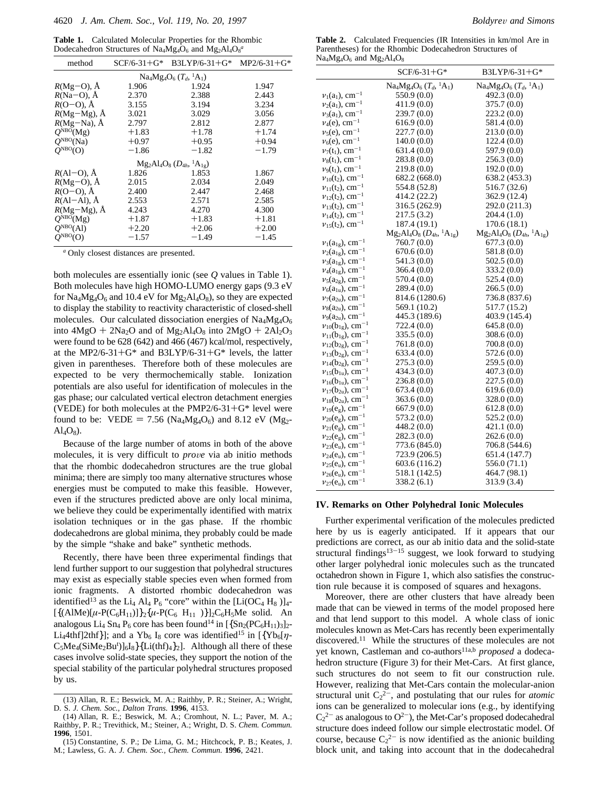**Table 1.** Calculated Molecular Properties for the Rhombic Dodecahedron Structures of Na<sub>4</sub>Mg<sub>4</sub>O<sub>6</sub> and Mg<sub>2</sub>Al<sub>4</sub>O<sub>8</sub><sup>a</sup>

| method                              | $SCF/6-31+G*$ | $B3LYP/6-31+G*$ | $MP2/6-31+G*$ |  |
|-------------------------------------|---------------|-----------------|---------------|--|
| $Na_4Mg_4O_6$ $(T_d, {}^1A_1)$      |               |                 |               |  |
| $R(Mg=O)$ , $\AA$                   | 1.906         | 1.924           | 1.947         |  |
| $R(Na-O)$ , Å                       | 2.370         | 2.388           | 2.443         |  |
| $R(O-O)$ , $\AA$                    | 3.155         | 3.194           | 3.234         |  |
| $R(Mg-Mg)$ , A                      | 3.021         | 3.029           | 3.056         |  |
| $R(Mg-Na)$ , Å                      | 2.797         | 2.812           | 2.877         |  |
| $O^{NBO}(Mg)$                       | $+1.83$       | $+1.78$         | $+1.74$       |  |
| $O^{NBO}(Na)$                       | $+0.97$       | $+0.95$         | $+0.94$       |  |
| $O^{NBO}(O)$                        | $-1.86$       | $-1.82$         | $-1.79$       |  |
| $Mg_2Al_4O_8(D_{4h}, {}^{1}A_{1g})$ |               |                 |               |  |
| $R(AI-O), \tilde{A}$                | 1.826         | 1.853           | 1.867         |  |
| $R(Mg-O)$ , $\AA$                   | 2.015         | 2.034           | 2.049         |  |
| $R(O-O)$ , $\AA$                    | 2.400         | 2.447           | 2.468         |  |
| $R(AI-AI)$ , $\AA$                  | 2.553         | 2.571           | 2.585         |  |
| $R(Mg-Mg)$ , $\AA$                  | 4.243         | 4.270           | 4.300         |  |
| $Q^{NBO}(Mg)$                       | $+1.87$       | $+1.83$         | $+1.81$       |  |
| $O^{NBO}(Al)$                       | $+2.20$       | $+2.06$         | $+2.00$       |  |
| $O^{NBO}(O)$                        | $-1.57$       | $-1.49$         | $-1.45$       |  |

*<sup>a</sup>* Only closest distances are presented.

both molecules are essentially ionic (see *Q* values in Table 1). Both molecules have high HOMO-LUMO energy gaps (9.3 eV for  $Na_4Mg_4O_6$  and 10.4 eV for  $Mg_2Al_4O_8$ , so they are expected to display the stability to reactivity characteristic of closed-shell molecules. Our calculated dissociation energies of  $\text{Na}_4\text{Mg}_4\text{O}_6$ into  $4MgO + 2Na<sub>2</sub>O$  and of  $Mg<sub>2</sub>Al<sub>4</sub>O<sub>8</sub>$  into  $2MgO + 2Al<sub>2</sub>O<sub>3</sub>$ were found to be 628 (642) and 466 (467) kcal/mol, respectively, at the MP2/6-31+G\* and B3LYP/6-31+G\* levels, the latter given in parentheses. Therefore both of these molecules are expected to be very thermochemically stable. Ionization potentials are also useful for identification of molecules in the gas phase; our calculated vertical electron detachment energies (VEDE) for both molecules at the PMP2/6-31+ $G^*$  level were found to be: VEDE = 7.56 (Na<sub>4</sub>Mg<sub>4</sub>O<sub>6</sub>) and 8.12 eV (Mg<sub>2</sub>- $Al_4O_8$ ).

Because of the large number of atoms in both of the above molecules, it is very difficult to *prove* via ab initio methods that the rhombic dodecahedron structures are the true global minima; there are simply too many alternative structures whose energies must be computed to make this feasible. However, even if the structures predicted above are only local minima, we believe they could be experimentally identified with matrix isolation techniques or in the gas phase. If the rhombic dodecahedrons are global minima, they probably could be made by the simple "shake and bake" synthetic methods.

Recently, there have been three experimental findings that lend further support to our suggestion that polyhedral structures may exist as especially stable species even when formed from ionic fragments. A distorted rhombic dodecahedron was identified<sup>13</sup> as the Li<sub>4</sub> Al<sub>4</sub> P<sub>6</sub> "core" within the [Li(OC<sub>4</sub> H<sub>8</sub>)]<sub>4</sub>- $[{(AlMe)[\mu-P(C_6H_{11})]}_2\{\mu-P(C_6H_{11})\}]_2C_6H_5Me$  solid. An analogous Li<sub>4</sub> Sn<sub>4</sub> P<sub>6</sub> core has been found<sup>14</sup> in  $[\{Sn_2(PC_6H_{11})_3]_2$ -Li<sub>4</sub>4thf]2thf}]; and a Yb<sub>6</sub> I<sub>8</sub> core was identified<sup>15</sup> in [{Yb<sub>6</sub>[ $\eta$ - $C_5Me_4(SiMe_2Bu^t)]_6I_8$ }{Li(thf)<sub>4</sub>}<sub>2</sub>]. Although all there of these cases involve solid-state species, they support the notion of the special stability of the particular polyhedral structures proposed by us.

**Table 2.** Calculated Frequencies (IR Intensities in km/mol Are in Parentheses) for the Rhombic Dodecahedron Structures of  $Na_4Mg_4O_6$  and  $Mg_2Al_4O_8$ 

|                                     | $SCF/6-31+G*$                           | $B3LYP/6-31+G*$                   |
|-------------------------------------|-----------------------------------------|-----------------------------------|
|                                     | $Na_4Mg_4O_6$ $(T_d, {}^1A_1)$          | $Na_4Mg_4O_6 (T_d, {}^1A_1)$      |
| $v_1(a_1)$ , cm <sup>-1</sup>       | 550.9 (0.0)                             | 492.3 (0.0)                       |
| $v_2(a_1)$ , cm <sup>-1</sup>       | 411.9(0.0)                              | 375.7 (0.0)                       |
| $v_3(a_1)$ , cm <sup>-1</sup>       | 239.7(0.0)                              | 223.2(0.0)                        |
| $v_4(e)$ , cm <sup>-1</sup>         | 616.9(0.0)                              | 581.4 (0.0)                       |
| $v_5(e)$ , cm <sup>-1</sup>         | 227.7(0.0)                              | 213.0 (0.0)                       |
| $v_6(e)$ , cm <sup>-1</sup>         | 140.0(0.0)                              | 122.4(0.0)                        |
| $v_7(t_1)$ , cm <sup>-1</sup>       | 631.4(0.0)                              | 597.9 (0.0)                       |
| $\nu_8(t_1)$ , cm <sup>-1</sup>     | 283.8(0.0)                              | 256.3(0.0)                        |
| $v_9(t_1)$ , cm <sup>-1</sup>       | 219.8 (0.0)                             | 192.0(0.0)                        |
| $v_{10}(t_2)$ , cm <sup>-1</sup>    | 682.2 (668.0)                           | 638.2 (453.3)                     |
| $v_{11}(t_2)$ , cm <sup>-1</sup>    | 554.8 (52.8)                            | 516.7 (32.6)                      |
| $v_{12}(t_2)$ , cm <sup>-1</sup>    | 414.2 (22.2)                            | 362.9 (12.4)                      |
| $v_{13}(t_2)$ , cm <sup>-1</sup>    | 316.5 (262.9)                           | 292.0 (211.3)                     |
| $v_{14}(t_2)$ , cm <sup>-1</sup>    | 217.5 (3.2)                             | 204.4 (1.0)                       |
| $v_{15}(t_2)$ , cm <sup>-1</sup>    | 187.4 (19.1)                            | 170.6(18.1)                       |
|                                     | $Mg_2Al_4O_8$ $(D_{4h}$ , ${}^1A_{1g})$ | $Mg_2Al_4O_8(D_{4h}, {}^1A_{1g})$ |
| $v_1(a_{1g})$ , cm <sup>-1</sup>    | 760.7 (0.0)                             | 677.3(0.0)                        |
| $v_2(a_{1g}), \text{ cm}^{-1}$      | 670.6(0.0)                              | 581.8 (0.0)                       |
| $v_3(a_{1g}), \text{ cm}^{-1}$      | 541.3 (0.0)                             | 502.5(0.0)                        |
| $\nu_4(a_{1g}), \text{ cm}^{-1}$    | 366.4(0.0)                              | 333.2 (0.0)                       |
| $v_5(a_{2g}), \text{ cm}^{-1}$      | 570.4 (0.0)                             | 525.4 (0.0)                       |
| $v_6(a_{1u}), \text{ cm}^{-1}$      | 289.4(0.0)                              | 266.5(0.0)                        |
| $v_7(a_{2u})$ , cm <sup>-1</sup>    | 814.6 (1280.6)                          | 736.8 (837.6)                     |
| $\nu_8(a_{2u}), \, \text{cm}^{-1}$  | 569.1 (10.2)                            | 517.7 (15.2)                      |
| $\nu_9(a_{2u}), \text{ cm}^{-1}$    | 445.3 (189.6)                           | 403.9 (145.4)                     |
| $v_{10}(b_{1g})$ , cm <sup>-1</sup> | 722.4(0.0)                              | 645.8(0.0)                        |
| $v_{11}(b_{1g}), \text{ cm}^{-1}$   | 335.5(0.0)                              | 308.6(0.0)                        |
| $v_{12}(b_{2g})$ , cm <sup>-1</sup> | 761.8(0.0)                              | 700.8 (0.0)                       |
| $v_{13}(b_{2g})$ , cm <sup>-1</sup> | 633.4(0.0)                              | 572.6 (0.0)                       |
| $v_{14}(b_{2g})$ , cm <sup>-1</sup> | 275.3(0.0)                              | 259.5 (0.0)                       |
| $v_{15}(b_{1u}), \text{ cm}^{-1}$   | 434.3(0.0)                              | 407.3(0.0)                        |
| $v_{16}(b_{1u}), \text{ cm}^{-1}$   | 236.8(0.0)                              | 227.5(0.0)                        |
| $v_{17}(b_{2u})$ , cm <sup>-1</sup> | 673.4(0.0)                              | 619.6(0.0)                        |
| $v_{18}(b_{2u})$ , cm <sup>-1</sup> | 363.6(0.0)                              | 328.0 (0.0)                       |
| $v_{19}(e_g)$ , cm <sup>-1</sup>    | 667.9(0.0)                              | 612.8(0.0)                        |
| $v_{20}(e_g)$ , cm <sup>-1</sup>    | 573.2 (0.0)                             | 525.2 (0.0)                       |
| $v_{21}(e_g)$ , cm <sup>-1</sup>    | 448.2(0.0)                              | 421.1(0.0)                        |
| $v_{22}(e_g)$ , cm <sup>-1</sup>    | 282.3(0.0)                              | 262.6 (0.0)                       |
| $v_{23}(e_u)$ , cm <sup>-1</sup>    | 773.6 (845.0)                           | 706.8 (544.6)                     |
| $v_{24}(e_u)$ , cm <sup>-1</sup>    | 723.9 (206.5)                           | 651.4 (147.7)                     |
| $v_{25}(e_u)$ , cm <sup>-1</sup>    | 603.6 (116.2)                           | 556.0 (71.1)                      |
| $v_{26}(e_u)$ , cm <sup>-1</sup>    | 518.1 (142.5)                           | 464.7 (98.1)                      |
| $v_{27}(e_u)$ , cm <sup>-1</sup>    | 338.2 (6.1)                             | 313.9 (3.4)                       |

#### **IV. Remarks on Other Polyhedral Ionic Molecules**

Further experimental verification of the molecules predicted here by us is eagerly anticipated. If it appears that our predictions are correct, as our ab initio data and the solid-state structural findings $13-15$  suggest, we look forward to studying other larger polyhedral ionic molecules such as the truncated octahedron shown in Figure 1, which also satisfies the construction rule because it is composed of squares and hexagons.

Moreover, there are other clusters that have already been made that can be viewed in terms of the model proposed here and that lend support to this model. A whole class of ionic molecules known as Met-Cars has recently been experimentally discovered.<sup>11</sup> While the structures of these molecules are not yet known, Castleman and co-authors<sup>11a,b</sup> *proposed* a dodecahedron structure (Figure 3) for their Met-Cars. At first glance, such structures do not seem to fit our construction rule. However, realizing that Met-Cars contain the molecular-anion structural unit  $C_2^2$ , and postulating that our rules for *atomic* ions can be generalized to molecular ions (e.g., by identifying  $C_2^2$  as analogous to O<sup>2-</sup>), the Met-Car's proposed dodecahedral structure does indeed follow our simple electrostatic model. Of course, because  $C_2^2$  is now identified as the anionic building block unit, and taking into account that in the dodecahedral

<sup>(13)</sup> Allan, R. E.; Beswick, M. A.; Raithby, P. R.; Steiner, A.; Wright, D. S. *J. Chem. Soc., Dalton Trans.* **1996**, 4153.

<sup>(14)</sup> Allan, R. E.; Beswick, M. A.; Cromhout, N. L.; Paver, M. A.; Raithby, P. R.; Trevithick, M.; Steiner, A.; Wright, D. S. *Chem. Commun.* **1996**, 1501.

<sup>(15)</sup> Constantine, S. P.; De Lima, G. M.; Hitchcock, P. B.; Keates, J. M.; Lawless, G. A. *J. Chem. Soc., Chem. Commun.* **1996**, 2421.